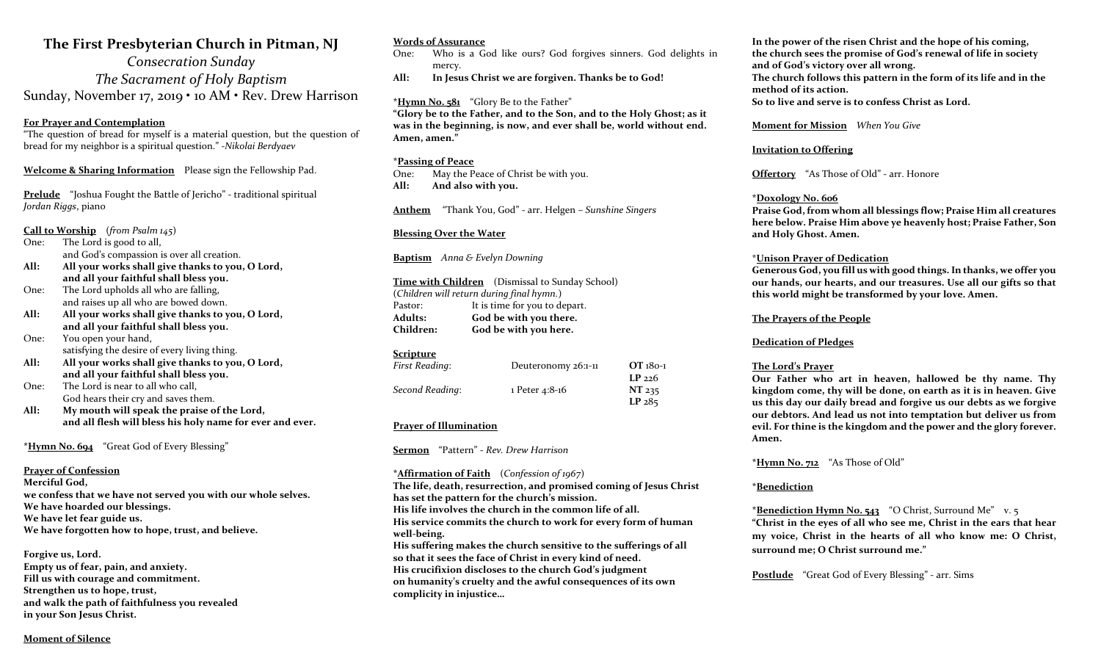### The First Presbyterian Church in Pitman, NJ

Consecration Sunday The Sacrament of Holy Baptism Sunday, November 17, 2019 • 10 AM • Rev. Drew Harrison

#### For Prayer and Contemplation

"The question of bread for myself is a material question, but the question of bread for my neighbor is a spiritual question." -Nikolai Berdyaev

Welcome & Sharing Information Please sign the Fellowship Pad.

Prelude "Joshua Fought the Battle of Jericho" - traditional spiritual Jordan Riggs, piano

Call to Worship (from Psalm  $145$ )

One: The Lord is good to all, and God's compassion is over all creation.

- All: All your works shall give thanks to you, O Lord, and all your faithful shall bless you.
- One: The Lord upholds all who are falling, and raises up all who are bowed down.
- All: All your works shall give thanks to you, O Lord, and all your faithful shall bless you.
- One: You open your hand, satisfying the desire of every living thing.
- All: All your works shall give thanks to you, O Lord, and all your faithful shall bless you.
- One: The Lord is near to all who call, God hears their cry and saves them.
- All: My mouth will speak the praise of the Lord, and all flesh will bless his holy name for ever and ever.

\*Hymn No. 694 "Great God of Every Blessing"

#### Prayer of Confession

Merciful God, we confess that we have not served you with our whole selves. We have hoarded our blessings. We have let fear guide us. We have forgotten how to hope, trust, and believe.

Forgive us, Lord. Empty us of fear, pain, and anxiety. Fill us with courage and commitment. Strengthen us to hope, trust, and walk the path of faithfulness you revealed in your Son Jesus Christ.

#### Words of Assurance

- One: Who is a God like ours? God forgives sinners. God delights in mercy.
- All: In Jesus Christ we are forgiven. Thanks be to God!

#### \*Hymn No. 581 "Glory Be to the Father"

"Glory be to the Father, and to the Son, and to the Holy Ghost; as it was in the beginning, is now, and ever shall be, world without end. Amen, amen."

#### \*Passing of Peace

One: May the Peace of Christ be with you. All: And also with you.

Anthem "Thank You, God" - arr. Helgen – Sunshine Singers

#### Blessing Over the Water

Baptism Anna & Evelyn Downing

Time with Children (Dismissal to Sunday School) (Children will return during final hymn.) Pastor: It is time for you to depart. Adults: God be with you there.<br>
Children: God be with you here. God be with you here.

#### Scripture

| First Reading:  | Deuteronomy 26:1-11 | $OT_180-1$        |
|-----------------|---------------------|-------------------|
|                 |                     | $LP$ 226          |
| Second Reading: | 1 Peter 4:8-16      | NT 235            |
|                 |                     | LP <sub>285</sub> |

#### Prayer of Illumination

Sermon "Pattern" - Rev. Drew Harrison

#### \*Affirmation of Faith (Confession of 1967)

The life, death, resurrection, and promised coming of Jesus Christ has set the pattern for the church's mission. His life involves the church in the common life of all. His service commits the church to work for every form of human well-being. His suffering makes the church sensitive to the sufferings of all so that it sees the face of Christ in every kind of need. His crucifixion discloses to the church God's judgment on humanity's cruelty and the awful consequences of its own complicity in injustice…

In the power of the risen Christ and the hope of his coming, the church sees the promise of God's renewal of life in society and of God's victory over all wrong. The church follows this pattern in the form of its life and in the method of its action. So to live and serve is to confess Christ as Lord.

Moment for Mission When You Give

#### Invitation to Offering

Offertory "As Those of Old" - arr. Honore

#### \*Doxology No. 606

Praise God, from whom all blessings flow; Praise Him all creatures here below. Praise Him above ye heavenly host; Praise Father, Son and Holy Ghost. Amen.

#### \*Unison Prayer of Dedication

Generous God, you fill us with good things. In thanks, we offer you our hands, our hearts, and our treasures. Use all our gifts so that this world might be transformed by your love. Amen.

#### The Prayers of the People

#### Dedication of Pledges

#### The Lord's Prayer

Our Father who art in heaven, hallowed be thy name. Thy kingdom come, thy will be done, on earth as it is in heaven. Give us this day our daily bread and forgive us our debts as we forgive our debtors. And lead us not into temptation but deliver us from evil. For thine is the kingdom and the power and the glory forever. Amen.

\*Hymn No. 712 "As Those of Old"

#### \*Benediction

\*Benediction Hymn No. 543 "O Christ, Surround Me" v. 5 "Christ in the eyes of all who see me, Christ in the ears that hear my voice, Christ in the hearts of all who know me: O Christ, surround me; O Christ surround me."

**Postlude** "Great God of Every Blessing" - arr. Sims